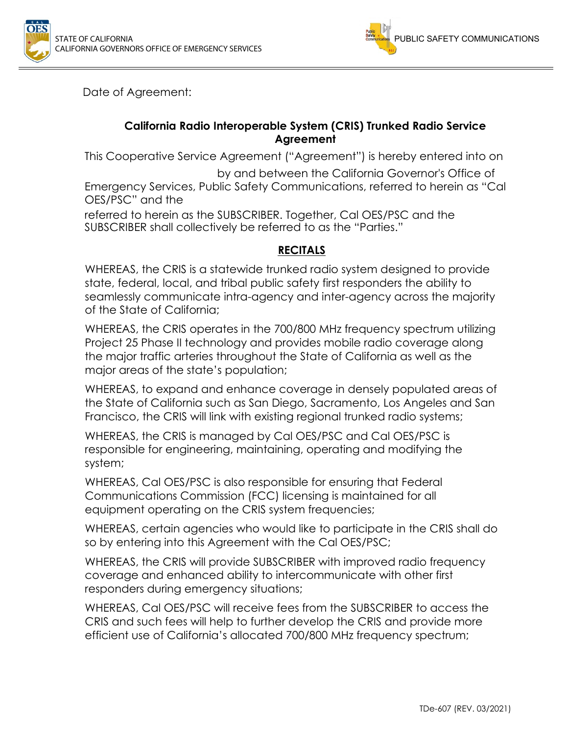



Date of Agreement:

#### **California Radio Interoperable System (CRIS) Trunked Radio Service Agreement**

This Cooperative Service Agreement ("Agreement") is hereby entered into on

 by and between the California Governor's Office of Emergency Services, Public Safety Communications, referred to herein as "Cal OES/PSC" and the

referred to herein as the SUBSCRIBER. Together, Cal OES/PSC and the SUBSCRIBER shall collectively be referred to as the "Parties."

#### **RECITALS**

WHEREAS, the CRIS is a statewide trunked radio system designed to provide state, federal, local, and tribal public safety first responders the ability to seamlessly communicate intra-agency and inter-agency across the majority of the State of California;

WHEREAS, the CRIS operates in the 700/800 MHz frequency spectrum utilizing Project 25 Phase II technology and provides mobile radio coverage along the major traffic arteries throughout the State of California as well as the major areas of the state's population;

WHEREAS, to expand and enhance coverage in densely populated areas of the State of California such as San Diego, Sacramento, Los Angeles and San Francisco, the CRIS will link with existing regional trunked radio systems;

WHEREAS, the CRIS is managed by Cal OES/PSC and Cal OES/PSC is responsible for engineering, maintaining, operating and modifying the system;

WHEREAS, Cal OES/PSC is also responsible for ensuring that Federal Communications Commission (FCC) licensing is maintained for all equipment operating on the CRIS system frequencies;

WHEREAS, certain agencies who would like to participate in the CRIS shall do so by entering into this Agreement with the Cal OES/PSC;

WHEREAS, the CRIS will provide SUBSCRIBER with improved radio frequency coverage and enhanced ability to intercommunicate with other first responders during emergency situations;

WHEREAS, Cal OES/PSC will receive fees from the SUBSCRIBER to access the CRIS and such fees will help to further develop the CRIS and provide more efficient use of California's allocated 700/800 MHz frequency spectrum;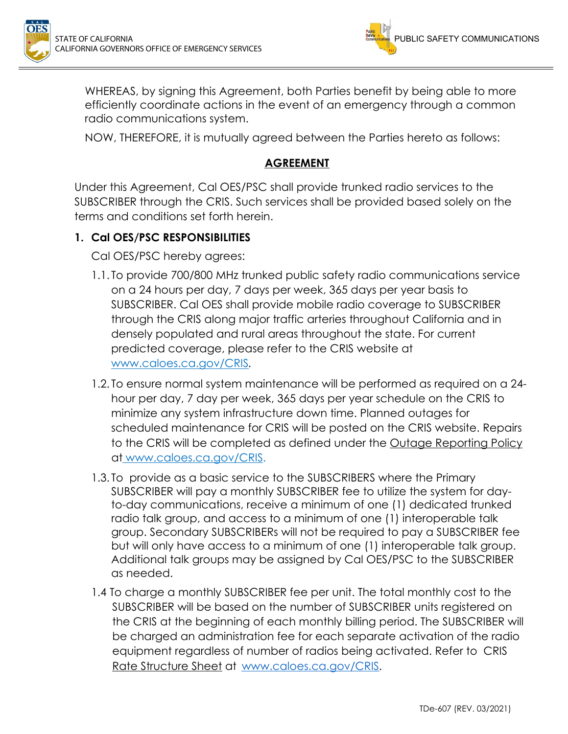



WHEREAS, by signing this Agreement, both Parties benefit by being able to more efficiently coordinate actions in the event of an emergency through a common radio communications system.

NOW, THEREFORE, it is mutually agreed between the Parties hereto as follows:

### **AGREEMENT**

Under this Agreement, Cal OES/PSC shall provide trunked radio services to the SUBSCRIBER through the CRIS. Such services shall be provided based solely on the terms and conditions set forth herein.

## **1. Cal OES/PSC RESPONSIBILITIES**

Cal OES/PSC hereby agrees:

- 1.1. To provide 700/800 MHz trunked public safety radio communications service on a 24 hours per day, 7 days per week, 365 days per year basis to SUBSCRIBER. Cal OES shall provide mobile radio coverage to SUBSCRIBER through the CRIS along major traffic arteries throughout California and in densely populated and rural areas throughout the state. For current predicted coverage, please refer to the CRIS website at www.caloes.ca.gov/CRIS.
- 1.2. To ensure normal system maintenance will be performed as required on a 24 hour per day, 7 day per week, 365 days per year schedule on the CRIS to minimize any system infrastructure down time. Planned outages for scheduled maintenance for CRIS will be posted on the CRIS website. Repairs to the CRIS will be completed as defined under the Outage Reporting Policy at www.caloes.ca.gov/CRIS.
- 1.3. To provide as a basic service to the SUBSCRIBERS where the Primary SUBSCRIBER will pay a monthly SUBSCRIBER fee to utilize the system for dayto-day communications, receive a minimum of one (1) dedicated trunked radio talk group, and access to a minimum of one (1) interoperable talk group. Secondary SUBSCRIBERs will not be required to pay a SUBSCRIBER fee but will only have access to a minimum of one (1) interoperable talk group. Additional talk groups may be assigned by Cal OES/PSC to the SUBSCRIBER as needed.
- 1.4 To charge a monthly SUBSCRIBER fee per unit. The total monthly cost to the SUBSCRIBER will be based on the number of SUBSCRIBER units registered on the CRIS at the beginning of each monthly billing period. The SUBSCRIBER will be charged an administration fee for each separate activation of the radio equipment regardless of number of radios being activated. Refer to CRIS Rate Structure Sheet at www.caloes.ca.gov/CRIS.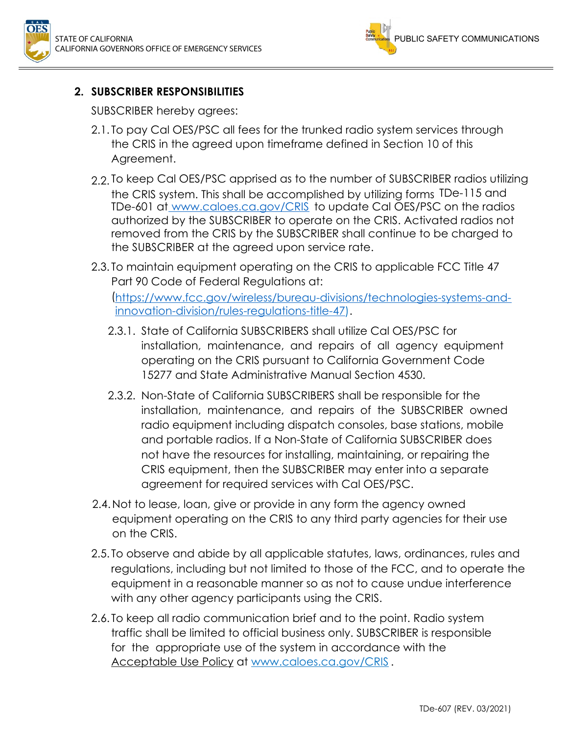



### **2. SUBSCRIBER RESPONSIBILITIES**

SUBSCRIBER hereby agrees:

- 2.1. To pay Cal OES/PSC all fees for the trunked radio system services through the CRIS in the agreed upon timeframe defined in Section 10 of this Agreement.
- 2.2. To keep Cal OES/PSC apprised as to the number of SUBSCRIBER radios utilizing the CRIS system. This shall be accomplished by utilizing forms TDe-115 and TDe-601 at www.caloes.ca.gov/CRIS to update Cal OES/PSC on the radios authorized by the SUBSCRIBER to operate on the CRIS. Activated radios not removed from the CRIS by the SUBSCRIBER shall continue to be charged to the SUBSCRIBER at the agreed upon service rate.
- 2.3. To maintain equipment operating on the CRIS to applicable FCC Title 47 Part 90 Code of Federal Regulations at:

(https://www.fcc.gov/wireless/bureau-divisions/technologies-systems-andinnovation-division/rules-regulations-title-47).

- 2.3.1. State of California SUBSCRIBERS shall utilize Cal OES/PSC for installation, maintenance, and repairs of all agency equipment operating on the CRIS pursuant to California Government Code 15277 and State Administrative Manual Section 4530.
- 2.3.2. Non-State of California SUBSCRIBERS shall be responsible for the installation, maintenance, and repairs of the SUBSCRIBER owned radio equipment including dispatch consoles, base stations, mobile and portable radios. If a Non-State of California SUBSCRIBER does not have the resources for installing, maintaining, or repairing the CRIS equipment, then the SUBSCRIBER may enter into a separate agreement for required services with Cal OES/PSC.
- 2.4.Not to lease, loan, give or provide in any form the agency owned equipment operating on the CRIS to any third party agencies for their use on the CRIS.
- 2.5. To observe and abide by all applicable statutes, laws, ordinances, rules and regulations, including but not limited to those of the FCC, and to operate the equipment in a reasonable manner so as not to cause undue interference with any other agency participants using the CRIS.
- 2.6. To keep all radio communication brief and to the point. Radio system traffic shall be limited to official business only. SUBSCRIBER is responsible for the appropriate use of the system in accordance with the Acceptable Use Policy at www.caloes.ca.gov/CRIS .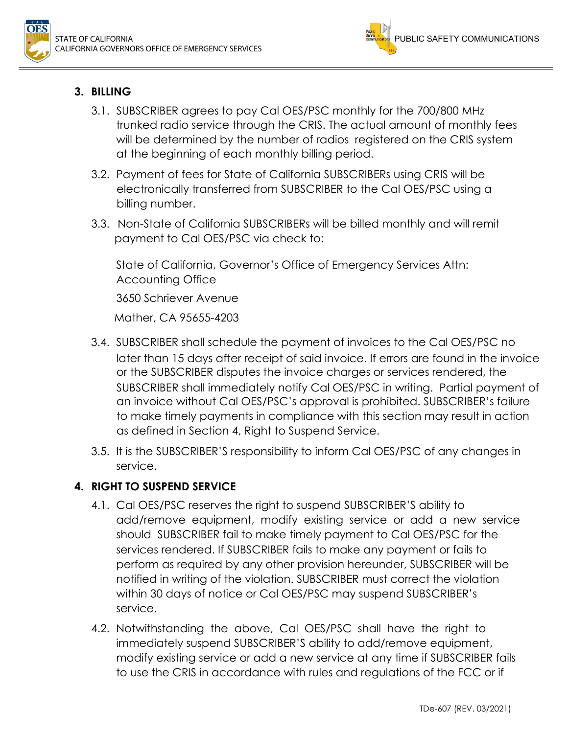



# **3. BILLING**

- 3.1. SUBSCRIBER agrees to pay Cal OES/PSC monthly for the 700/800 MHz trunked radio service through the CRIS. The actual amount of monthly fees will be determined by the number of radios registered on the CRIS system at the beginning of each monthly billing period.
- 3.2. Payment of fees for State of California SUBSCRIBERs using CRIS will be electronically transferred from SUBSCRIBER to the Cal OES/PSC using a billing number.
- 3.3. Non-State of California SUBSCRIBERs will be billed monthly and will remit payment to Cal OES/PSC via check to:

State of California, Governor's Office of Emergency Services Attn: Accounting Office 3650 Schriever Avenue Mather, CA 95655-4203

- 3.4. SUBSCRIBER shall schedule the payment of invoices to the Cal OES/PSC no later than 15 days after receipt of said invoice. If errors are found in the invoice or the SUBSCRIBER disputes the invoice charges or services rendered, the SUBSCRIBER shall immediately notify Cal OES/PSC in writing. Partial payment of an invoice without Cal OES/PSC's approval is prohibited. SUBSCRIBER's failure to make timely payments in compliance with this section may result in action as defined in Section 4, Right to Suspend Service.
- 3.5. It is the SUBSCRIBER'S responsibility to inform Cal OES/PSC of any changes in service.

## **4. RIGHT TO SUSPEND SERVICE**

- 4.1. Cal OES/PSC reserves the right to suspend SUBSCRIBER'S ability to add/remove equipment, modify existing service or add a new service should SUBSCRIBER fail to make timely payment to Cal OES/PSC for the services rendered. If SUBSCRIBER fails to make any payment or fails to perform as required by any other provision hereunder, SUBSCRIBER will be notified in writing of the violation. SUBSCRIBER must correct the violation within 30 days of notice or Cal OES/PSC may suspend SUBSCRIBER's service.
- 4.2. Notwithstanding the above, Cal OES/PSC shall have the right to immediately suspend SUBSCRIBER'S ability to add/remove equipment, modify existing service or add a new service at any time if SUBSCRIBER fails to use the CRIS in accordance with rules and regulations of the FCC or if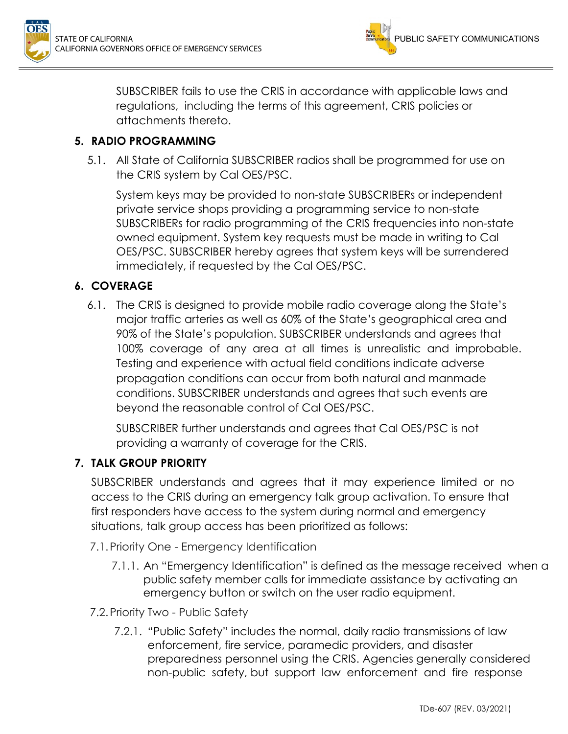



SUBSCRIBER fails to use the CRIS in accordance with applicable laws and regulations, including the terms of this agreement, CRIS policies or attachments thereto.

### **5. RADIO PROGRAMMING**

5.1. All State of California SUBSCRIBER radios shall be programmed for use on the CRIS system by Cal OES/PSC.

System keys may be provided to non-state SUBSCRIBERs or independent private service shops providing a programming service to non-state SUBSCRIBERs for radio programming of the CRIS frequencies into non-state owned equipment. System key requests must be made in writing to Cal OES/PSC. SUBSCRIBER hereby agrees that system keys will be surrendered immediately, if requested by the Cal OES/PSC.

#### **6. COVERAGE**

6.1. The CRIS is designed to provide mobile radio coverage along the State's major traffic arteries as well as 60% of the State's geographical area and 90% of the State's population. SUBSCRIBER understands and agrees that 100% coverage of any area at all times is unrealistic and improbable. Testing and experience with actual field conditions indicate adverse propagation conditions can occur from both natural and manmade conditions. SUBSCRIBER understands and agrees that such events are beyond the reasonable control of Cal OES/PSC.

SUBSCRIBER further understands and agrees that Cal OES/PSC is not providing a warranty of coverage for the CRIS.

#### **7. TALK GROUP PRIORITY**

SUBSCRIBER understands and agrees that it may experience limited or no access to the CRIS during an emergency talk group activation. To ensure that first responders have access to the system during normal and emergency situations, talk group access has been prioritized as follows:

- 7.1.Priority One Emergency Identification
	- 7.1.1. An "Emergency Identification" is defined as the message received when a public safety member calls for immediate assistance by activating an emergency button or switch on the user radio equipment.
- 7.2.Priority Two Public Safety
	- 7.2.1. "Public Safety" includes the normal, daily radio transmissions of law enforcement, fire service, paramedic providers, and disaster preparedness personnel using the CRIS. Agencies generally considered non-public safety, but support law enforcement and fire response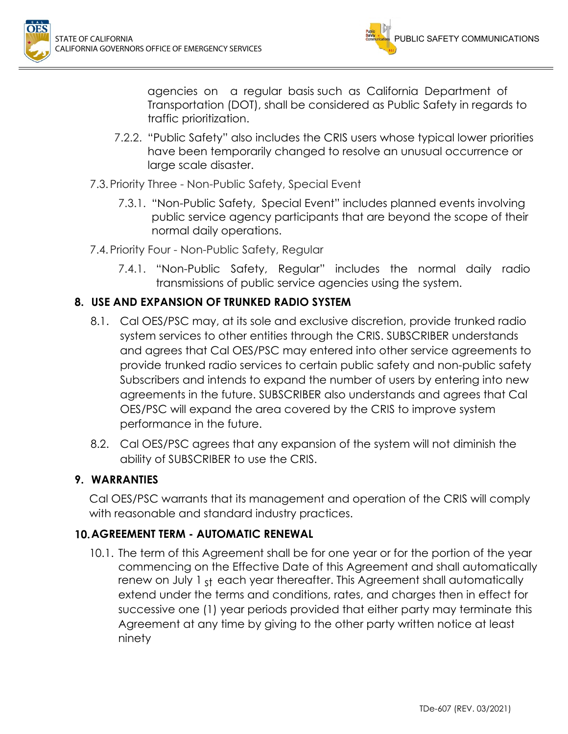

agencies on a regular basis such as California Department of Transportation (DOT), shall be considered as Public Safety in regards to traffic prioritization.

- 7.2.2. "Public Safety" also includes the CRIS users whose typical lower priorities have been temporarily changed to resolve an unusual occurrence or large scale disaster.
- 7.3.Priority Three Non-Public Safety, Special Event
	- 7.3.1. "Non-Public Safety, Special Event" includes planned events involving public service agency participants that are beyond the scope of their normal daily operations.
- 7.4.Priority Four Non-Public Safety, Regular
	- 7.4.1. "Non-Public Safety, Regular" includes the normal daily radio transmissions of public service agencies using the system.

## **8. USE AND EXPANSION OF TRUNKED RADIO SYSTEM**

- 8.1. Cal OES/PSC may, at its sole and exclusive discretion, provide trunked radio system services to other entities through the CRIS. SUBSCRIBER understands and agrees that Cal OES/PSC may entered into other service agreements to provide trunked radio services to certain public safety and non-public safety Subscribers and intends to expand the number of users by entering into new agreements in the future. SUBSCRIBER also understands and agrees that Cal OES/PSC will expand the area covered by the CRIS to improve system performance in the future.
- 8.2. Cal OES/PSC agrees that any expansion of the system will not diminish the ability of SUBSCRIBER to use the CRIS.

## **9. WARRANTIES**

Cal OES/PSC warrants that its management and operation of the CRIS will comply with reasonable and standard industry practices.

#### **10. AGREEMENT TERM - AUTOMATIC RENEWAL**

10.1. The term of this Agreement shall be for one year or for the portion of the year commencing on the Effective Date of this Agreement and shall automatically renew on July 1 st each year thereafter. This Agreement shall automatically extend under the terms and conditions, rates, and charges then in effect for successive one (1) year periods provided that either party may terminate this Agreement at any time by giving to the other party written notice at least ninety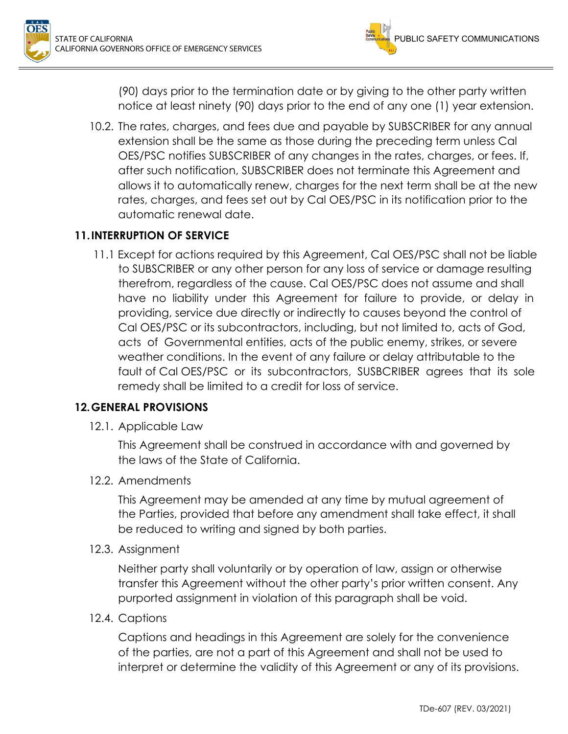

(90) days prior to the termination date or by giving to the other party written notice at least ninety (90) days prior to the end of any one (1) year extension.

10.2. The rates, charges, and fees due and payable by SUBSCRIBER for any annual extension shall be the same as those during the preceding term unless Cal OES/PSC notifies SUBSCRIBER of any changes in the rates, charges, or fees. If, after such notification, SUBSCRIBER does not terminate this Agreement and allows it to automatically renew, charges for the next term shall be at the new rates, charges, and fees set out by Cal OES/PSC in its notification prior to the automatic renewal date.

## **11. INTERRUPTION OF SERVICE**

11.1 Except for actions required by this Agreement, Cal OES/PSC shall not be liable to SUBSCRIBER or any other person for any loss of service or damage resulting therefrom, regardless of the cause. Cal OES/PSC does not assume and shall have no liability under this Agreement for failure to provide, or delay in providing, service due directly or indirectly to causes beyond the control of Cal OES/PSC or its subcontractors, including, but not limited to, acts of God, acts of Governmental entities, acts of the public enemy, strikes, or severe weather conditions. In the event of any failure or delay attributable to the fault of Cal OES/PSC or its subcontractors, SUSBCRIBER agrees that its sole remedy shall be limited to a credit for loss of service.

#### **12. GENERAL PROVISIONS**

12.1. Applicable Law

This Agreement shall be construed in accordance with and governed by the laws of the State of California.

12.2. Amendments

This Agreement may be amended at any time by mutual agreement of the Parties, provided that before any amendment shall take effect, it shall be reduced to writing and signed by both parties.

12.3. Assignment

Neither party shall voluntarily or by operation of law, assign or otherwise transfer this Agreement without the other party's prior written consent. Any purported assignment in violation of this paragraph shall be void.

12.4. Captions

Captions and headings in this Agreement are solely for the convenience of the parties, are not a part of this Agreement and shall not be used to interpret or determine the validity of this Agreement or any of its provisions.